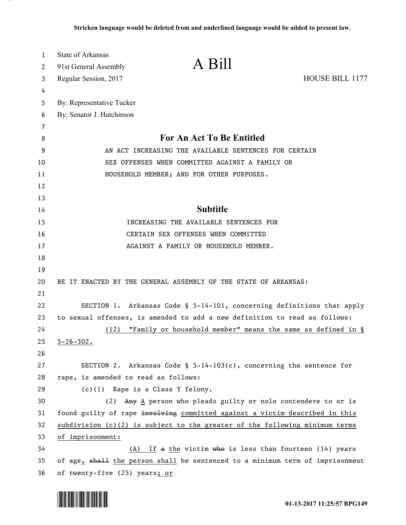| 1  | State of Arkansas                    |                                                                               |                 |
|----|--------------------------------------|-------------------------------------------------------------------------------|-----------------|
| 2  | 91st General Assembly                | A Bill                                                                        |                 |
| 3  | Regular Session, 2017                |                                                                               | HOUSE BILL 1177 |
| 4  |                                      |                                                                               |                 |
| 5  | By: Representative Tucker            |                                                                               |                 |
| 6  | By: Senator J. Hutchinson            |                                                                               |                 |
| 7  |                                      |                                                                               |                 |
| 8  |                                      | For An Act To Be Entitled                                                     |                 |
| 9  |                                      | AN ACT INCREASING THE AVAILABLE SENTENCES FOR CERTAIN                         |                 |
| 10 |                                      | SEX OFFENSES WHEN COMMITTED AGAINST A FAMILY OR                               |                 |
| 11 |                                      | HOUSEHOLD MEMBER; AND FOR OTHER PURPOSES.                                     |                 |
| 12 |                                      |                                                                               |                 |
| 13 |                                      |                                                                               |                 |
| 14 |                                      | <b>Subtitle</b>                                                               |                 |
| 15 |                                      | INCREASING THE AVAILABLE SENTENCES FOR                                        |                 |
| 16 |                                      | CERTAIN SEX OFFENSES WHEN COMMITTED                                           |                 |
| 17 |                                      | AGAINST A FAMILY OR HOUSEHOLD MEMBER.                                         |                 |
| 18 |                                      |                                                                               |                 |
| 19 |                                      |                                                                               |                 |
| 20 |                                      | BE IT ENACTED BY THE GENERAL ASSEMBLY OF THE STATE OF ARKANSAS:               |                 |
| 21 |                                      |                                                                               |                 |
| 22 |                                      | SECTION 1. Arkansas Code § $5-14-101$ , concerning definitions that apply     |                 |
| 23 |                                      | to sexual offenses, is amended to add a new definition to read as follows:    |                 |
| 24 | (12)                                 | "Family or household member" means the same as defined in §                   |                 |
| 25 | $5 - 26 - 302$ .                     |                                                                               |                 |
| 26 |                                      |                                                                               |                 |
| 27 |                                      | SECTION 2. Arkansas Code § $5-14-103(c)$ , concerning the sentence for        |                 |
| 28 | rape, is amended to read as follows: |                                                                               |                 |
| 29 |                                      | (c)(1) Rape is a Class Y felony.                                              |                 |
| 30 | (2)                                  | Any A person who pleads guilty or nolo contendere to or is                    |                 |
| 31 |                                      | found guilty of rape involving committed against a victim described in this   |                 |
| 32 |                                      | $subdivision (c)(2)$ is subject to the greater of the following minimum terms |                 |
| 33 | of imprisonment:                     |                                                                               |                 |
| 34 | (A)                                  | If a the victim who is less than fourteen $(14)$ years                        |                 |
| 35 |                                      | of age, shall the person shall be sentenced to a minimum term of imprisonment |                 |
| 36 | of twenty-five (25) years; or        |                                                                               |                 |



<u>. на п</u>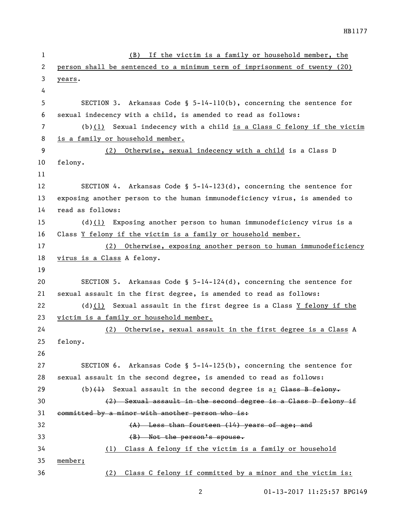| 1  | If the victim is a family or household member, the<br>(B)                  |
|----|----------------------------------------------------------------------------|
| 2  | person shall be sentenced to a minimum term of imprisonment of twenty (20) |
| 3  | years.                                                                     |
| 4  |                                                                            |
| 5  | SECTION 3. Arkansas Code § $5-14-110(b)$ , concerning the sentence for     |
| 6  | sexual indecency with a child, is amended to read as follows:              |
| 7  | (b) $(1)$ Sexual indecency with a child is a Class C felony if the victim  |
| 8  | is a family or household member.                                           |
| 9  | (2) Otherwise, sexual indecency with a child is a Class D                  |
| 10 | felony.                                                                    |
| 11 |                                                                            |
| 12 | SECTION 4. Arkansas Code § $5-14-123(d)$ , concerning the sentence for     |
| 13 | exposing another person to the human immunodeficiency virus, is amended to |
| 14 | read as follows:                                                           |
| 15 | (d) $(1)$ Exposing another person to human immunodeficiency virus is a     |
| 16 | Class Y felony if the victim is a family or household member.              |
| 17 | (2) Otherwise, exposing another person to human immunodeficiency           |
| 18 | virus is a Class A felony.                                                 |
| 19 |                                                                            |
| 20 | SECTION 5. Arkansas Code § $5-14-124(d)$ , concerning the sentence for     |
| 21 | sexual assault in the first degree, is amended to read as follows:         |
| 22 | (d) $(1)$ Sexual assault in the first degree is a Class $Y$ felony if the  |
| 23 | victim is a family or household member.                                    |
| 24 | Otherwise, sexual assault in the first degree is a Class A<br>(2)          |
| 25 | felony.                                                                    |
| 26 |                                                                            |
| 27 | SECTION 6. Arkansas Code § $5-14-125(b)$ , concerning the sentence for     |
| 28 | sexual assault in the second degree, is amended to read as follows:        |
| 29 | (b) $\{\pm\}$ Sexual assault in the second degree is a: Class B felony.    |
| 30 | (2) Sexual assault in the second degree is a Class D felony if             |
| 31 | committed by a minor with another person who is:                           |
| 32 | (A) Less than fourteen (14) years of age; and                              |
| 33 | $(B)$ Not the person's spouse.                                             |
| 34 | Class A felony if the victim is a family or household<br>(1)               |
| 35 | member;                                                                    |
| 36 | Class C felony if committed by a minor and the victim is:<br>(2)           |
|    |                                                                            |

01-13-2017 11:25:57 BPG149